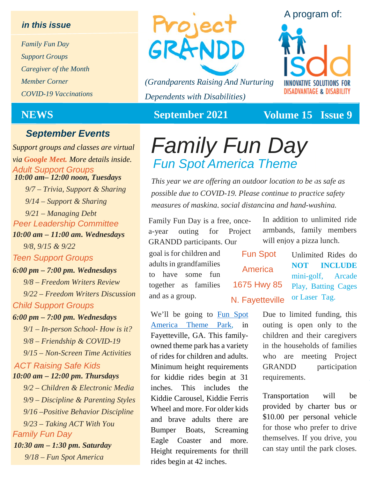### *in this issue*

*Family Fun Day Support Groups Caregiver of the Month Member Corner COVID-19 Vaccinations*

*10:00 am– 12:00 noon, Tuesdays Support groups and classes are virtual via Google Meet. More details inside.*

*9/7 – Trivia, Support & Sharing 9/14 – Support & Sharing 9/21 – Managing Debt*

*Peer Leadership Committee*

*10:00 am – 11:00 am. Wednesdays 9/8, 9/15 & 9/22*

*Teen Support Groups*

### *6:00 pm – 7:00 pm. Wednesdays*

*Child Support Groups 9/8 – Freedom Writers Review 9/22 – Freedom Writers Discussion* 

### *6:00 pm – 7:00 pm. Wednesdays*

*9/1 – In-person School- How is it? 9/8 – Friendship & COVID-19 9/15 – Non-Screen Time Activities*

### *ACT Raising Safe Kids 10:00 am – 12:00 pm. Thursdays*

*Family Fun Day 10:30 am – 1:30 pm. Saturday 9/18 – Fun Spot America 9/2 – Children & Electronic Media 9/9 – Discipline & Parenting Styles 9/16 –Positive Behavior Discipline 9/23 – Taking ACT With You*



*(Grandparents Raising And Nurturing Dependents with Disabilities)*



**NEWS** September 2021 Volume 15 Issue 9

# **September Events**<br>port groups and classes are virtual Family Fun Day *Adult Support Groups Fun Spot America Theme*

*This year we are offering an outdoor location to be as safe as possible due to COVID-19. Please continue to practice safety measures of masking, social distancing and hand-washing.*

Family Fun Day is a free, oncea-year outing for Project GRANDD participants. Our

goal is for children and adults in grandfamilies to have some fun together as families and as a group.

In addition to unlimited ride armbands, family members will enjoy a pizza lunch.

Fun Spot America 1675 Hwy 85 N. Fayetteville

Unlimited Rides do **NOT INCLUDE** mini-golf, Arcade Play, Batting Cages or Laser Tag.

We'll be going to [Fun Spot](https://funspotamericaatlanta.com/)  [America Theme Park,](https://funspotamericaatlanta.com/) in Fayetteville, GA. This familyowned theme park has a variety of rides for children and adults. Minimum height requirements for kiddie rides begin at 31 inches. This includes the Kiddie Carousel, Kiddie Ferris Wheel and more. For older kids and brave adults there are Bumper Boats, Screaming Eagle Coaster and more. Height requirements for thrill rides begin at 42 inches.

Due to limited funding, this outing is open only to the children and their caregivers in the households of families who are meeting Project GRANDD participation requirements.

Transportation will be provided by charter bus or \$10.00 per personal vehicle for those who prefer to drive themselves. If you drive, you can stay until the park closes.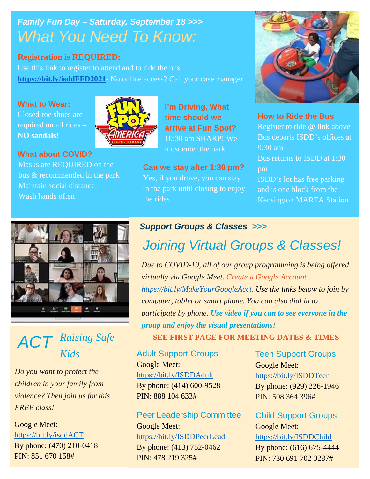## *Family Fun Day – Saturday, September 18 >>> What You Need To Know:*

## **Registration is REQUIRED:**

Use this link to register to attend and to ride the bus: **[https://bit.ly/isddFFD2021](https://docs.google.com/forms/d/e/1FAIpQLSfs0yKp2miFfhJWVJ4qSQc3q499mo9jV6twP4kgYslLlgArCg/viewform)**- No online access? Call your case manager.

## **What to Wear:**

Closed-toe shoes are required on all rides – **NO sandals!**



**What about COVID?** Masks are REQUIRED on the bus & recommended in the park Maintain social distance Wash hands often

**I'm Driving, What time should we arrive at Fun Spot?** 10:30 am SHARP! We must enter the park

**Can we stay after 1:30 pm?** Yes, if you drove, you can stay in the park until closing to enjoy the rides.



**How to Ride the Bus**

Register to ride @ link above Bus departs ISDD's offices at 9:30 am Bus returns to ISDD at 1:30 pm

ISDD's lot has free parking and is one block from the Kensington MARTA Station



## *ACT Raising Safe Kids*

*Do you want to protect the children in your family from violence? Then join us for this FREE class!*

Google Meet: <https://bit.ly/isddACT> By phone: (470) 210-0418 PIN: 851 670 158#

## *Support Groups & Classes >>>*

# *Joining Virtual Groups & Classes!*

*Due to COVID-19, all of our group programming is being offered virtually via Google Meet. Create a Google Account [https://bit.ly/MakeYourGoogleAcct.](https://bit.ly/MakeYourGoogleAcct) Use the links below to join by computer, tablet or smart phone. You can also dial in to participate by phone. Use video if you can to see everyone in the group and enjoy the visual presentations!*

**SEE FIRST PAGE FOR MEETING DATES & TIMES**

Adult Support Groups Google Meet: <https://bit.ly/ISDDAdult> By phone: (414) 600-9528 PIN: 888 104 633#

## Peer Leadership Committee

Google Meet: <https://bit.ly/ISDDPeerLead> By phone: (413) 752-0462 PIN: 478 219 325#

Teen Support Groups Google Meet: <https://bit.ly/ISDDTeen> By phone: (929) 226-1946 PIN: 508 364 396#

Child Support Groups Google Meet: <https://bit.ly/ISDDChild> By phone: (616) 675-4444 PIN: 730 691 702 0287#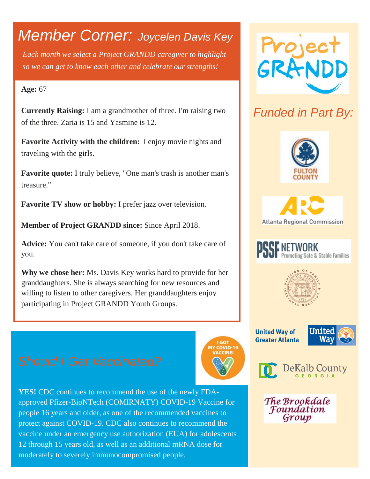# *Member Corner: Joycelen Davis Key*

*Each month we select a Project GRANDD caregiver to highlight so we can get to know each other and celebrate our strengths!* 

## **Age:** 67

**Currently Raising:** I am a grandmother of three. I'm raising two of the three. Zaria is 15 and Yasmine is 12.

**Favorite Activity with the children:** I enjoy movie nights and traveling with the girls.

**Favorite quote:** I truly believe, "One man's trash is another man's treasure."

**Favorite TV show or hobby:** I prefer jazz over television.

**Member of Project GRANDD since:** Since April 2018.

**Advice:** You can't take care of someone, if you don't take care of you.

**Why we chose her:** Ms. Davis Key works hard to provide for her granddaughters. She is always searching for new resources and willing to listen to other caregivers. Her granddaughters enjoy participating in Project GRANDD Youth Groups.





## *Funded in Part By:*









**United Way of Greater Atlanta** 

**GOT** 





The Brookdale Foundation Group